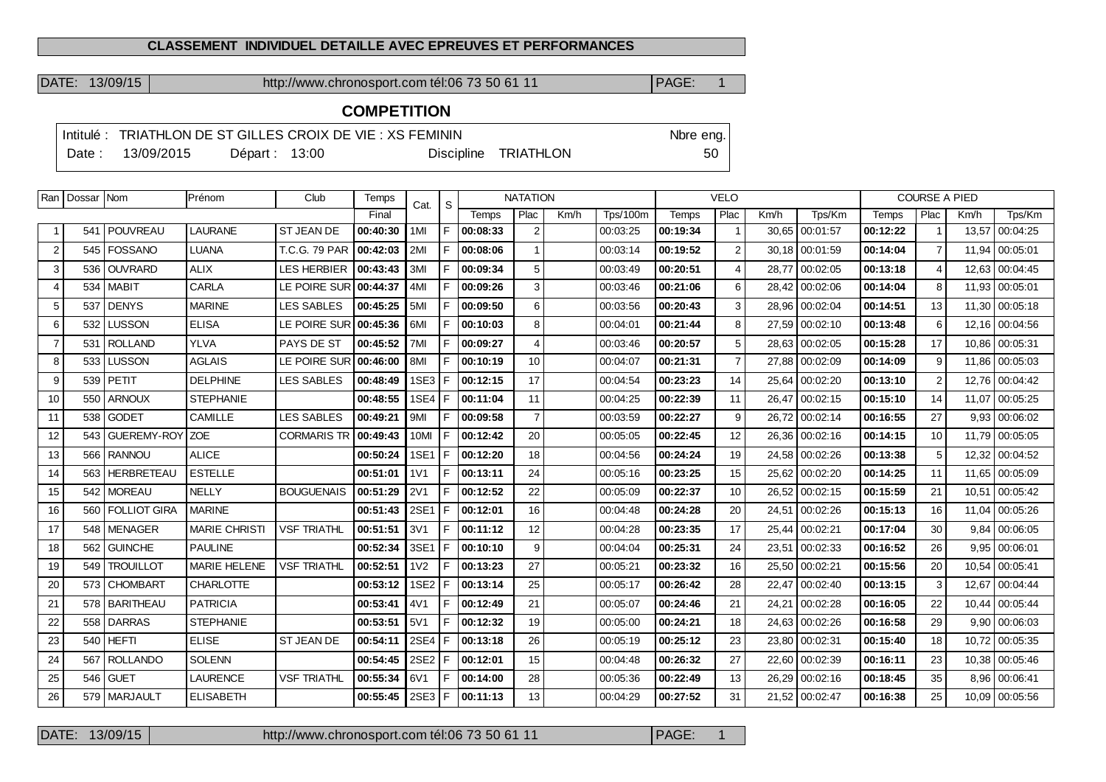## **CLASSEMENT INDIVIDUEL DETAILLE AVEC EPREUVES ET PERFORMANCES**

DATE: 13/09/15 http://www.chronosport.com tél:06 73 50 61 11 PAGE: 1

## **COMPETITION**

|        |            |                | Intitulé : TRIATHLON DE ST GILLES CROIX DE VIE : XS FEMININ |                      | Nbre eng. |
|--------|------------|----------------|-------------------------------------------------------------|----------------------|-----------|
| Date : | 13/09/2015 | Départ : 13:00 |                                                             | Discipline TRIATHLON | 50        |

|                | Ran   Dossar   Nom |                  | Prénom               | Club               | Temps    | Cat.             | S  | <b>NATATION</b>                          |                |       | <b>VELO</b> |          |                |       | <b>COURSE A PIED</b> |          |                |       |                 |
|----------------|--------------------|------------------|----------------------|--------------------|----------|------------------|----|------------------------------------------|----------------|-------|-------------|----------|----------------|-------|----------------------|----------|----------------|-------|-----------------|
|                |                    |                  |                      |                    | Final    |                  |    | Plac<br>Km/h<br><b>Tps/100m</b><br>Temps |                | Temps | Plac        | Km/h     | Tps/Km         | Temps | Plac                 | Km/h     | Tps/Km         |       |                 |
| -1             |                    | 541   POUVREAU   | <b>LAURANE</b>       | <b>ST JEAN DE</b>  | 00:40:30 | 1MI              | F  | 00:08:33                                 | 2              |       | 00:03:25    | 00:19:34 | $\mathbf{1}$   |       | 30,65 00:01:57       | 00:12:22 | $\overline{1}$ | 13,57 | 00:04:25        |
| $\overline{2}$ |                    | 545   FOSSANO    | <b>LUANA</b>         | T.C.G. 79 PAR      | 00:42:03 | 2MI              | F. | 00:08:06                                 |                |       | 00:03:14    | 00:19:52 | 2              |       | 30.18 00:01:59       | 00:14:04 | $\overline{7}$ |       | 11,94 00:05:01  |
| 3              |                    | 536 OUVRARD      | <b>ALIX</b>          | <b>LES HERBIER</b> | 00:43:43 | 3MI              | F. | 00:09:34                                 | 5              |       | 00:03:49    | 00:20:51 | $\overline{4}$ | 28.77 | 00:02:05             | 00:13:18 | $\overline{4}$ |       | 12,63 00:04:45  |
| $\overline{4}$ |                    | 534   MABIT      | <b>CARLA</b>         | LE POIRE SUR       | 00:44:37 | 4MI              | F  | 00:09:26                                 | 3              |       | 00:03:46    | 00:21:06 | 6              | 28.42 | 00:02:06             | 00:14:04 | 8              | 11.93 | 00:05:01        |
| 5              |                    | 537 DENYS        | <b>MARINE</b>        | <b>LES SABLES</b>  | 00:45:25 | 5MI              | F  | 00:09:50                                 | 6              |       | 00:03:56    | 00:20:43 | 3              | 28.96 | 00:02:04             | 00:14:51 | 13             |       | 11,30 00:05:18  |
| 6              | 532                | <b>LUSSON</b>    | <b>ELISA</b>         | LE POIRE SUR       | 00:45:36 | 6MI              | F. | 00:10:03                                 | 8              |       | 00:04:01    | 00:21:44 | 8              | 27,59 | 00:02:10             | 00:13:48 | 6              |       | 12,16 00:04:56  |
| $\overline{7}$ |                    | 531 ROLLAND      | <b>YLVA</b>          | PAYS DE ST         | 00:45:52 | 7MI              | F. | 00:09:27                                 | $\overline{4}$ |       | 00:03:46    | 00:20:57 | 5              |       | 28,63 00:02:05       | 00:15:28 | 17             | 10,86 | 00:05:31        |
| 8              | 533                | <b>LUSSON</b>    | <b>AGLAIS</b>        | LE POIRE SUR       | 00:46:00 | 8MI              | F. | 00:10:19                                 | 10             |       | 00:04:07    | 00:21:31 | $\overline{7}$ |       | 27.88 00:02:09       | 00:14:09 | 9              |       | 11,86 00:05:03  |
| 9              |                    | 539 PETIT        | <b>DELPHINE</b>      | <b>LES SABLES</b>  | 00:48:49 | 1SE3             | F  | 00:12:15                                 | 17             |       | 00:04:54    | 00:23:23 | 14             |       | 25.64 00:02:20       | 00:13:10 | $\overline{2}$ |       | 12.76 00:04:42  |
| 10             |                    | 550 ARNOUX       | <b>STEPHANIE</b>     |                    | 00:48:55 | 1SE4             | F  | 00:11:04                                 | 11             |       | 00:04:25    | 00:22:39 | 11             | 26,47 | 00:02:15             | 00:15:10 | 14             | 11.07 | 00:05:25        |
| 11             |                    | 538 GODET        | CAMILLE              | <b>LES SABLES</b>  | 00:49:21 | 9MI              | F. | 00:09:58                                 | $\overline{7}$ |       | 00:03:59    | 00:22:27 | 9              |       | 26,72 00:02:14       | 00:16:55 | 27             |       | 9,93   00:06:02 |
| 12             |                    | 543 GUEREMY-ROY  | <b>ZOE</b>           | <b>CORMARIS TR</b> | 00:49:43 | 10MI             | F  | 00:12:42                                 | 20             |       | 00:05:05    | 00:22:45 | 12             | 26,36 | 00:02:16             | 00:14:15 | 10             |       | 11,79 00:05:05  |
| 13             |                    | 566 RANNOU       | <b>ALICE</b>         |                    | 00:50:24 | 1SE1             | F  | 00:12:20                                 | 18             |       | 00:04:56    | 00:24:24 | 19             |       | 24,58 00:02:26       | 00:13:38 | 5              |       | 12,32 00:04:52  |
| 14             |                    | 563 HERBRETEAU   | <b>ESTELLE</b>       |                    | 00:51:01 | 1 <sub>V</sub> 1 | F. | 00:13:11                                 | 24             |       | 00:05:16    | 00:23:25 | 15             |       | 25.62 00:02:20       | 00:14:25 | 11             |       | 11,65 00:05:09  |
| 15             |                    | 542   MOREAU     | <b>NELLY</b>         | <b>BOUGUENAIS</b>  | 00:51:29 | <b>2V1</b>       | F  | 00:12:52                                 | 22             |       | 00:05:09    | 00:22:37 | 10             | 26,52 | 00:02:15             | 00:15:59 | 21             | 10,51 | 00:05:42        |
| 16             |                    | 560 FOLLIOT GIRA | <b>MARINE</b>        |                    | 00:51:43 | 2SE1             | F  | 00:12:01                                 | 16             |       | 00:04:48    | 00:24:28 | 20             |       | 24,51 00:02:26       | 00:15:13 | 16             | 11,04 | 00:05:26        |
| 17             |                    | 548 MENAGER      | <b>MARIE CHRISTI</b> | <b>VSF TRIATHL</b> | 00:51:51 | 3V1              | F. | 00:11:12                                 | 12             |       | 00:04:28    | 00:23:35 | 17             |       | 25,44 00:02:21       | 00:17:04 | 30             |       | $9,84$ 00:06:05 |
| 18             | 562                | <b>GUINCHE</b>   | <b>PAULINE</b>       |                    | 00:52:34 | 3SE1             | F  | 00:10:10                                 | 9              |       | 00:04:04    | 00:25:31 | 24             | 23,51 | 00:02:33             | 00:16:52 | 26             | 9.95  | 00:06:01        |
| 19             | 549                | <b>TROUILLOT</b> | <b>MARIE HELENE</b>  | <b>VSF TRIATHL</b> | 00:52:51 | 1 <sub>2</sub>   | F  | 00:13:23                                 | 27             |       | 00:05:21    | 00:23:32 | 16             | 25,50 | 00:02:21             | 00:15:56 | 20             | 10.54 | 00:05:41        |
| 20             |                    | 573 CHOMBART     | <b>CHARLOTTE</b>     |                    | 00:53:12 | 1SE <sub>2</sub> | F  | 00:13:14                                 | 25             |       | 00:05:17    | 00:26:42 | 28             |       | 22,47 00:02:40       | 00:13:15 | 3              |       | 12,67 00:04:44  |
| 21             |                    | 578 BARITHEAU    | <b>PATRICIA</b>      |                    | 00:53:41 | 4V1              | F  | 00:12:49                                 | 21             |       | 00:05:07    | 00:24:46 | 21             | 24,21 | 00:02:28             | 00:16:05 | 22             |       | 10,44 00:05:44  |
| 22             |                    | 558 DARRAS       | <b>STEPHANIE</b>     |                    | 00:53:51 | 5V1              | F  | 00:12:32                                 | 19             |       | 00:05:00    | 00:24:21 | 18             |       | 24,63 00:02:26       | 00:16:58 | 29             |       | $9,90$ 00:06:03 |
| 23             |                    | $540$ HEFTI      | <b>ELISE</b>         | <b>ST JEAN DE</b>  | 00:54:11 | 2SE4             | F  | 00:13:18                                 | 26             |       | 00:05:19    | 00:25:12 | 23             |       | 23.80 00:02:31       | 00:15:40 | 18             |       | 10,72 00:05:35  |
| 24             | 567                | <b>ROLLANDO</b>  | <b>SOLENN</b>        |                    | 00:54:45 | 2SE <sub>2</sub> | F  | 00:12:01                                 | 15             |       | 00:04:48    | 00:26:32 | 27             | 22.60 | 00:02:39             | 00:16:11 | 23             | 10.38 | 00:05:46        |
| 25             | 546                | GUET             | <b>LAURENCE</b>      | <b>VSF TRIATHL</b> | 00:55:34 | 6V1              | F  | 00:14:00                                 | 28             |       | 00:05:36    | 00:22:49 | 13             | 26,29 | 00:02:16             | 00:18:45 | 35             | 8,96  | 00:06:41        |
| 26             |                    | 579   MARJAULT   | <b>ELISABETH</b>     |                    | 00:55:45 | 2SE3             | F  | 00:11:13                                 | 13             |       | 00:04:29    | 00:27:52 | 31             |       | 21,52 00:02:47       | 00:16:38 | 25             |       | 10,09 00:05:56  |

DATE: 13/09/15 http://www.chronosport.com tél:06 73 50 61 11 PAGE: 1